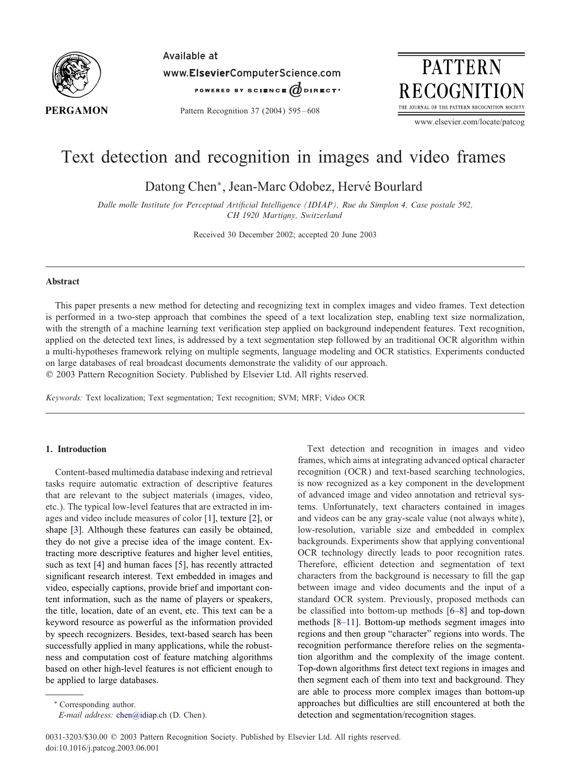

Available at www.ElsevierComputerScience.com POWERED BY SCIENCE ODIRECT\*

Pattern Recognition 37 (2004) 595 – 608

**PATTERN RECOGNIT** THE JOHRNAL OF THE PATTERN RECOGNITION SOCIETY

www.elsevier.com/locate/patcog

# Text detection and recognition in images and video frames

Datong Chen<sup>∗</sup>, Jean-Marc Odobez, Hervé Bourlard

*Dalle molle Institute for Perceptual Articial Intelligence (IDIAP), Rue du Simplon 4, Case postale 592, CH1920 Martigny, Switzerland*

Received 30 December 2002; accepted 20 June 2003

## Abstract

This paper presents a new method for detecting and recognizing text in complex images and video frames. Text detection is performed in a two-step approach that combines the speed of a text localization step, enabling text size normalization, with the strength of a machine learning text verification step applied on background independent features. Text recognition, applied on the detected text lines, is addressed by a text segmentation step followed by an traditional OCR algorithm within a multi-hypotheses framework relying on multiple segments, language modeling and OCR statistics. Experiments conducted on large databases of real broadcast documents demonstrate the validity of our approach. ? 2003 Pattern Recognition Society. Published by Elsevier Ltd. All rights reserved.

*Keywords:* Text localization; Text segmentation; Text recognition; SVM; MRF; Video OCR

## 1. Introduction

∗ Corresponding author.

*E-mail address:* [chen@idiap.ch](mailto:chen@idiap.ch) (D. Chen).

Content-based multimedia database indexing and retrieval tasks require automatic extraction of descriptive features that are relevant to the subject materials (images, video, etc.). The typical low-level features that are extracted in images and video include measures of color [\[1\]](#page-12-0), texture [\[2\]](#page-12-0), or shape [\[3\]](#page-12-0). Although these features can easily be obtained, they do not give a precise idea of the image content. Extracting more descriptive features and higher level entities, such as text [\[4\]](#page-12-0) and human faces [\[5\]](#page-12-0), has recently attracted significant research interest. Text embedded in images and video, especially captions, provide brief and important content information, such as the name of players or speakers, the title, location, date of an event, etc. This text can be a keyword resource as powerful as the information provided by speech recognizers. Besides, text-based search has been successfully applied in many applications, while the robustness and computation cost of feature matching algorithms based on other high-level features is not efficient enough to be applied to large databases.

Text detection and recognition in images and video frames, which aims at integrating advanced optical character recognition (OCR) and text-based searching technologies, is now recognized as a key component in the development of advanced image and video annotation and retrieval systems. Unfortunately, text characters contained in images and videos can be any gray-scale value (not always white), low-resolution, variable size and embedded in complex backgrounds. Experiments show that applying conventional OCR technology directly leads to poor recognition rates. Therefore, efficient detection and segmentation of text characters from the background is necessary to fill the gap between image and video documents and the input of a standard OCR system. Previously, proposed methods can be classified into bottom-up methods [\[6–8\]](#page-12-0) and top-down methods [\[8–11\]](#page-12-0). Bottom-up methods segment images into regions and then group "character" regions into words. The recognition performance therefore relies on the segmentation algorithm and the complexity of the image content. Top-down algorithms first detect text regions in images and then segment each of them into text and background. They are able to process more complex images than bottom-up approaches but difficulties are still encountered at both the detection and segmentation/recognition stages.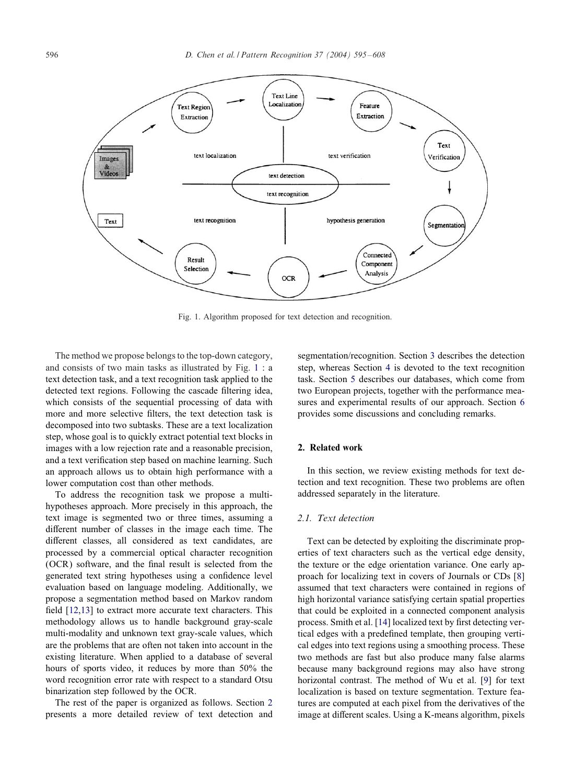

Fig. 1. Algorithm proposed for text detection and recognition.

The method we propose belongs to the top-down category, and consists of two main tasks as illustrated by Fig. 1 : a text detection task, and a text recognition task applied to the detected text regions. Following the cascade filtering idea, which consists of the sequential processing of data with more and more selective filters, the text detection task is decomposed into two subtasks. These are a text localization step, whose goal is to quickly extract potential text blocks in images with a low rejection rate and a reasonable precision, and a text verification step based on machine learning. Such an approach allows us to obtain high performance with a lower computation cost than other methods.

To address the recognition task we propose a multihypotheses approach. More precisely in this approach, the text image is segmented two or three times, assuming a different number of classes in the image each time. The different classes, all considered as text candidates, are processed by a commercial optical character recognition (OCR) software, and the final result is selected from the generated text string hypotheses using a confidence level evaluation based on language modeling. Additionally, we propose a segmentation method based on Markov random field  $[12,13]$  to extract more accurate text characters. This methodology allows us to handle background gray-scale multi-modality and unknown text gray-scale values, which are the problems that are often not taken into account in the existing literature. When applied to a database of several hours of sports video, it reduces by more than 50% the word recognition error rate with respect to a standard Otsu binarization step followed by the OCR.

The rest of the paper is organized as follows. Section 2 presents a more detailed review of text detection and

segmentation/recognition. Section [3](#page-2-0) describes the detection step, whereas Section [4](#page-5-0) is devoted to the text recognition task. Section [5](#page-8-0) describes our databases, which come from two European projects, together with the performance measures and experimental results of our approach. Section [6](#page-11-0) provides some discussions and concluding remarks.

# 2. Related work

In this section, we review existing methods for text detection and text recognition. These two problems are often addressed separately in the literature.

# *2.1. Text detection*

Text can be detected by exploiting the discriminate properties of text characters such as the vertical edge density, the texture or the edge orientation variance. One early approach for localizing text in covers of Journals or CDs [\[8\]](#page-12-0) assumed that text characters were contained in regions of high horizontal variance satisfying certain spatial properties that could be exploited in a connected component analysis process. Smith et al. [\[14\]](#page-12-0) localized text by first detecting vertical edges with a predefined template, then grouping vertical edges into text regions using a smoothing process. These two methods are fast but also produce many false alarms because many background regions may also have strong horizontal contrast. The method of Wu et al. [\[9\]](#page-12-0) for text localization is based on texture segmentation. Texture features are computed at each pixel from the derivatives of the image at different scales. Using a K-means algorithm, pixels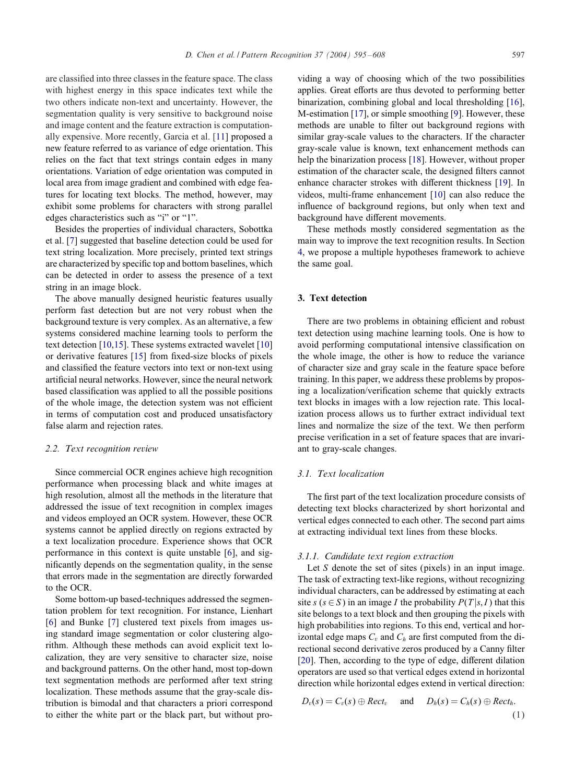<span id="page-2-0"></span>are classified into three classes in the feature space. The class with highest energy in this space indicates text while the two others indicate non-text and uncertainty. However, the segmentation quality is very sensitive to background noise and image content and the feature extraction is computationally expensive. More recently, Garcia et al. [\[11\]](#page-12-0) proposed a new feature referred to as variance of edge orientation. This relies on the fact that text strings contain edges in many orientations. Variation of edge orientation was computed in local area from image gradient and combined with edge features for locating text blocks. The method, however, may exhibit some problems for characters with strong parallel edges characteristics such as "i" or "1".

Besides the properties of individual characters, Sobottka et al. [\[7\]](#page-12-0) suggested that baseline detection could be used for text string localization. More precisely, printed text strings are characterized by specific top and bottom baselines, which can be detected in order to assess the presence of a text string in an image block.

The above manually designed heuristic features usually perform fast detection but are not very robust when the background texture is very complex. As an alternative, a few systems considered machine learning tools to perform the text detection [\[10,15\]](#page-12-0). These systems extracted wavelet [\[10\]](#page-12-0) or derivative features [\[15\]](#page-12-0) from fixed-size blocks of pixels and classified the feature vectors into text or non-text using artificial neural networks. However, since the neural network based classification was applied to all the possible positions of the whole image, the detection system was not efficient in terms of computation cost and produced unsatisfactory false alarm and rejection rates.

## *2.2. Text recognition review*

Since commercial OCR engines achieve high recognition performance when processing black and white images at high resolution, almost all the methods in the literature that addressed the issue of text recognition in complex images and videos employed an OCR system. However, these OCR systems cannot be applied directly on regions extracted by a text localization procedure. Experience shows that OCR performance in this context is quite unstable [\[6\]](#page-12-0), and significantly depends on the segmentation quality, in the sense that errors made in the segmentation are directly forwarded to the OCR.

Some bottom-up based-techniques addressed the segmentation problem for text recognition. For instance, Lienhart [\[6\]](#page-12-0) and Bunke [\[7\]](#page-12-0) clustered text pixels from images using standard image segmentation or color clustering algorithm. Although these methods can avoid explicit text localization, they are very sensitive to character size, noise and background patterns. On the other hand, most top-down text segmentation methods are performed after text string localization. These methods assume that the gray-scale distribution is bimodal and that characters a priori correspond to either the white part or the black part, but without pro-

viding a way of choosing which of the two possibilities applies. Great efforts are thus devoted to performing better binarization, combining global and local thresholding [\[16\]](#page-12-0), M-estimation [\[17\]](#page-12-0), or simple smoothing [\[9\]](#page-12-0). However, these methods are unable to filter out background regions with similar gray-scale values to the characters. If the character gray-scale value is known, text enhancement methods can help the binarization process [\[18\]](#page-12-0). However, without proper estimation of the character scale, the designed filters cannot enhance character strokes with different thickness [\[19\]](#page-12-0). In videos, multi-frame enhancement [\[10\]](#page-12-0) can also reduce the influence of background regions, but only when text and background have different movements.

These methods mostly considered segmentation as the main way to improve the text recognition results. In Section [4,](#page-5-0) we propose a multiple hypotheses framework to achieve the same goal.

## 3. Text detection

There are two problems in obtaining efficient and robust text detection using machine learning tools. One is how to avoid performing computational intensive classification on the whole image, the other is how to reduce the variance of character size and gray scale in the feature space before training. In this paper, we address these problems by proposing a localization/verification scheme that quickly extracts text blocks in images with a low rejection rate. This localization process allows us to further extract individual text lines and normalize the size of the text. We then perform precise verification in a set of feature spaces that are invariant to gray-scale changes.

## *3.1. Text localization*

The first part of the text localization procedure consists of detecting text blocks characterized by short horizontal and vertical edges connected to each other. The second part aims at extracting individual text lines from these blocks.

# *3.1.1. Candidate text region extraction*

Let  $S$  denote the set of sites (pixels) in an input image. The task of extracting text-like regions, without recognizing individual characters, can be addressed by estimating at each site s (s 
ightharpoonup S in an image I the probability  $P(T|s, I)$  that this site belongs to a text block and then grouping the pixels with high probabilities into regions. To this end, vertical and horizontal edge maps  $C_v$  and  $C_h$  are first computed from the directional second derivative zeros produced by a Canny filter [\[20\]](#page-12-0). Then, according to the type of edge, different dilation operators are used so that vertical edges extend in horizontal direction while horizontal edges extend in vertical direction:

$$
D_v(s) = C_v(s) \oplus Rect_v \quad \text{ and } \quad D_h(s) = C_h(s) \oplus Rect_h.
$$
\n(1)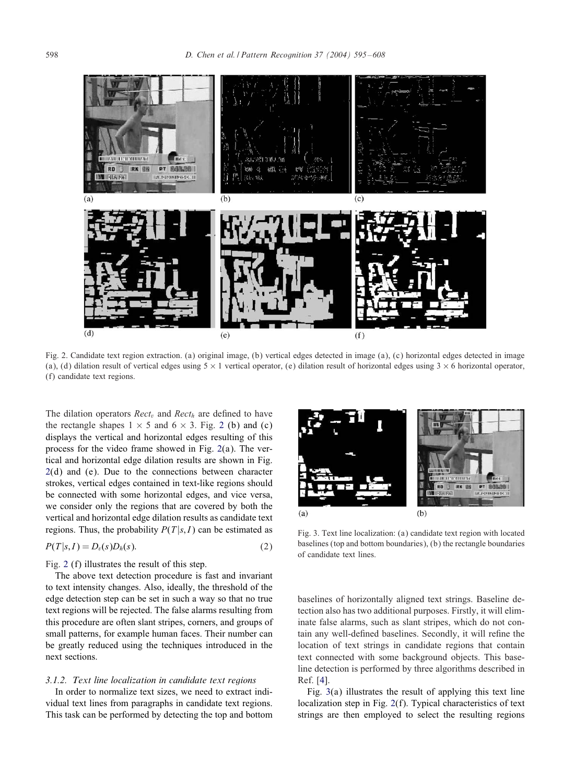<span id="page-3-0"></span>

Fig. 2. Candidate text region extraction. (a) original image, (b) vertical edges detected in image (a), (c) horizontal edges detected in image (a), (d) dilation result of vertical edges using  $5 \times 1$  vertical operator, (e) dilation result of horizontal edges using  $3 \times 6$  horizontal operator, (f) candidate text regions.

The dilation operators  $Rect_v$  and  $Rect_h$  are defined to have the rectangle shapes  $1 \times 5$  and  $6 \times 3$ . Fig. 2 (b) and (c) displays the vertical and horizontal edges resulting of this process for the video frame showed in Fig. 2(a). The vertical and horizontal edge dilation results are shown in Fig. 2(d) and (e). Due to the connections between character strokes, vertical edges contained in text-like regions should be connected with some horizontal edges, and vice versa, we consider only the regions that are covered by both the vertical and horizontal edge dilation results as candidate text regions. Thus, the probability  $P(T|s, I)$  can be estimated as

$$
P(T|s,I) = D_v(s)D_h(s).
$$
\n<sup>(2)</sup>

Fig. 2 (f) illustrates the result of this step.

The above text detection procedure is fast and invariant to text intensity changes. Also, ideally, the threshold of the edge detection step can be set in such a way so that no true text regions will be rejected. The false alarms resulting from this procedure are often slant stripes, corners, and groups of small patterns, for example human faces. Their number can be greatly reduced using the techniques introduced in the next sections.

# *3.1.2. Text line localization in candidate text regions*

In order to normalize text sizes, we need to extract individual text lines from paragraphs in candidate text regions. This task can be performed by detecting the top and bottom



Fig. 3. Text line localization: (a) candidate text region with located baselines (top and bottom boundaries), (b) the rectangle boundaries of candidate text lines.

baselines of horizontally aligned text strings. Baseline detection also has two additional purposes. Firstly, it will eliminate false alarms, such as slant stripes, which do not contain any well-defined baselines. Secondly, it will refine the location of text strings in candidate regions that contain text connected with some background objects. This baseline detection is performed by three algorithms described in Ref. [\[4\]](#page-12-0).

Fig.  $3(a)$  illustrates the result of applying this text line localization step in Fig. 2(f). Typical characteristics of text strings are then employed to select the resulting regions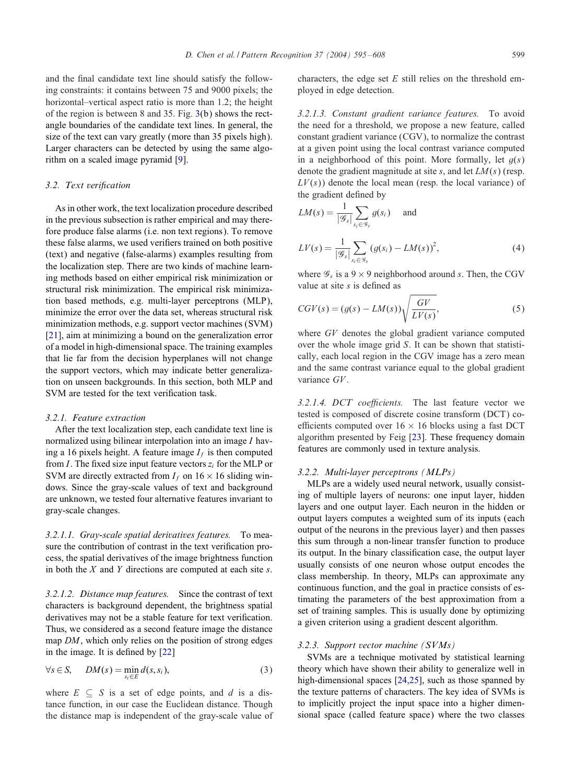<span id="page-4-0"></span>and the final candidate text line should satisfy the following constraints: it contains between 75 and 9000 pixels; the horizontal–vertical aspect ratio is more than 1.2; the height of the region is between 8 and 35. Fig. [3\(](#page-3-0)b) shows the rectangle boundaries of the candidate text lines. In general, the size of the text can vary greatly (more than 35 pixels high). Larger characters can be detected by using the same algorithm on a scaled image pyramid [\[9\]](#page-12-0).

## *3.2. Text verication*

As in other work, the text localization procedure described in the previous subsection is rather empirical and may therefore produce false alarms (i.e. non text regions). To remove these false alarms, we used verifiers trained on both positive (text) and negative (false-alarms) examples resulting from the localization step. There are two kinds of machine learning methods based on either empirical risk minimization or structural risk minimization. The empirical risk minimization based methods, e.g. multi-layer perceptrons (MLP), minimize the error over the data set, whereas structural risk minimization methods, e.g. support vector machines (SVM) [\[21\]](#page-12-0), aim at minimizing a bound on the generalization error of a model in high-dimensional space. The training examples that lie far from the decision hyperplanes will not change the support vectors, which may indicate better generalization on unseen backgrounds. In this section, both MLP and SVM are tested for the text verification task.

#### *3.2.1. Feature extraction*

After the text localization step, each candidate text line is normalized using bilinear interpolation into an image I having a 16 pixels height. A feature image  $I_f$  is then computed from *I*. The fixed size input feature vectors  $z_i$  for the MLP or SVM are directly extracted from  $I_f$  on  $16 \times 16$  sliding windows. Since the gray-scale values of text and background are unknown, we tested four alternative features invariant to gray-scale changes.

*3.2.1.1. Gray-scale spatial derivatives features.* To measure the contribution of contrast in the text verification process, the spatial derivatives of the image brightness function in both the  $X$  and  $Y$  directions are computed at each site  $s$ .

*3.2.1.2. Distance map features.* Since the contrast of text characters is background dependent, the brightness spatial derivatives may not be a stable feature for text verification. Thus, we considered as a second feature image the distance map DM, which only relies on the position of strong edges in the image. It is defined by [\[22\]](#page-12-0)

$$
\forall s \in S, \qquad DM(s) = \min_{s_i \in E} d(s, s_i), \tag{3}
$$

where  $E \subseteq S$  is a set of edge points, and d is a distance function, in our case the Euclidean distance. Though the distance map is independent of the gray-scale value of characters, the edge set  $E$  still relies on the threshold employed in edge detection.

*3.2.1.3. Constant gradient variance features.* To avoid the need for a threshold, we propose a new feature, called constant gradient variance (CGV), to normalize the contrast at a given point using the local contrast variance computed in a neighborhood of this point. More formally, let  $g(s)$ denote the gradient magnitude at site  $s$ , and let  $LM(s)$  (resp.  $LV(s)$ ) denote the local mean (resp. the local variance) of the gradient defined by

$$
LM(s) = \frac{1}{|\mathcal{G}_s|} \sum_{s_i \in \mathcal{G}_s} g(s_i) \quad \text{and}
$$
  

$$
LV(s) = \frac{1}{|\mathcal{G}_s|} \sum_{s_i \in \mathcal{G}_s} (g(s_i) - LM(s))^2,
$$
 (4)

where  $\mathcal{G}_s$  is a 9  $\times$  9 neighborhood around s. Then, the CGV value at site  $s$  is defined as

$$
CGV(s) = (g(s) - LM(s))\sqrt{\frac{GV}{LV(s)}},
$$
\n(5)

where GV denotes the global gradient variance computed over the whole image grid S. It can be shown that statistically, each local region in the CGV image has a zero mean and the same contrast variance equal to the global gradient variance GV.

3.2.1.4. DCT coefficients. The last feature vector we tested is composed of discrete cosine transform (DCT) coefficients computed over  $16 \times 16$  blocks using a fast DCT algorithm presented by Feig [\[23\]](#page-12-0). These frequency domain features are commonly used in texture analysis.

# *3.2.2. Multi-layer perceptrons (MLPs)*

MLPs are a widely used neural network, usually consisting of multiple layers of neurons: one input layer, hidden layers and one output layer. Each neuron in the hidden or output layers computes a weighted sum of its inputs (each output of the neurons in the previous layer) and then passes this sum through a non-linear transfer function to produce its output. In the binary classification case, the output layer usually consists of one neuron whose output encodes the class membership. In theory, MLPs can approximate any continuous function, and the goal in practice consists of estimating the parameters of the best approximation from a set of training samples. This is usually done by optimizing a given criterion using a gradient descent algorithm.

#### *3.2.3. Support vector machine (SVMs)*

SVMs are a technique motivated by statistical learning theory which have shown their ability to generalize well in high-dimensional spaces [\[24,25\]](#page-12-0), such as those spanned by the texture patterns of characters. The key idea of SVMs is to implicitly project the input space into a higher dimensional space (called feature space) where the two classes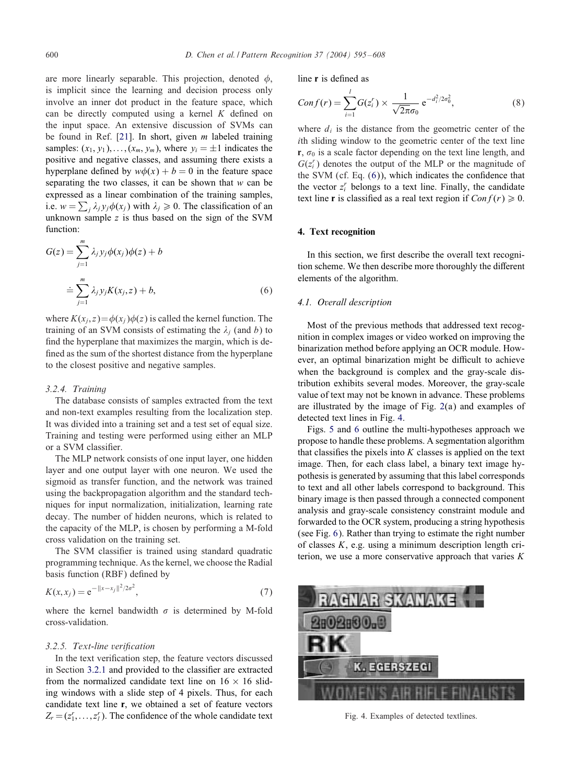<span id="page-5-0"></span>are more linearly separable. This projection, denoted  $\phi$ , is implicit since the learning and decision process only involve an inner dot product in the feature space, which can be directly computed using a kernel  $K$  defined on the input space. An extensive discussion of SVMs can be found in Ref.  $[21]$ . In short, given *m* labeled training samples:  $(x_1, y_1), \ldots, (x_m, y_m)$ , where  $y_i = \pm 1$  indicates the positive and negative classes, and assuming there exists a hyperplane defined by  $w\phi(x) + b = 0$  in the feature space separating the two classes, it can be shown that  $w$  can be expressed as a linear combination of the training samples, i.e.  $w = \sum_j \lambda_j y_j \phi(x_j)$  with  $\lambda_j \geq 0$ . The classification of an unknown sample  $z$  is thus based on the sign of the SVM function:

$$
G(z) = \sum_{j=1}^{m} \lambda_j y_j \phi(x_j) \phi(z) + b
$$
  

$$
\doteq \sum_{j=1}^{m} \lambda_j y_j K(x_j, z) + b,
$$
 (6)

where  $K(x_i, z) = \phi(x_i)\phi(z)$  is called the kernel function. The training of an SVM consists of estimating the  $\lambda_i$  (and b) to find the hyperplane that maximizes the margin, which is defined as the sum of the shortest distance from the hyperplane to the closest positive and negative samples.

## *3.2.4. Training*

The database consists of samples extracted from the text and non-text examples resulting from the localization step. It was divided into a training set and a test set of equal size. Training and testing were performed using either an MLP or a SVM classifier.

The MLP network consists of one input layer, one hidden layer and one output layer with one neuron. We used the sigmoid as transfer function, and the network was trained using the backpropagation algorithm and the standard techniques for input normalization, initialization, learning rate decay. The number of hidden neurons, which is related to the capacity of the MLP, is chosen by performing a M-fold cross validation on the training set.

The SVM classifier is trained using standard quadratic programming technique. As the kernel, we choose the Radial basis function (RBF) defined by

$$
K(x, x_j) = e^{-\|x - x_j\|^2/2\sigma^2},\tag{7}
$$

where the kernel bandwidth  $\sigma$  is determined by M-fold cross-validation.

# *3.2.5. Text-line verication*

In the text verification step, the feature vectors discussed in Section [3.2.1](#page-4-0) and provided to the classifier are extracted from the normalized candidate text line on  $16 \times 16$  sliding windows with a slide step of 4 pixels. Thus, for each candidate text line r, we obtained a set of feature vectors  $Z_r = (z_1^r, \ldots, z_l^r)$ . The confidence of the whole candidate text

line  $\bf{r}$  is defined as

$$
Conf(r) = \sum_{i=1}^{l} G(z_i^r) \times \frac{1}{\sqrt{2\pi}\sigma_0} e^{-d_i^2/2\sigma_0^2},
$$
 (8)

where  $d_i$  is the distance from the geometric center of the ith sliding window to the geometric center of the text line  $\mathbf{r}, \sigma_0$  is a scale factor depending on the text line length, and  $G(z_i^r)$  denotes the output of the MLP or the magnitude of the SVM (cf. Eq.  $(6)$ ), which indicates the confidence that the vector  $z_i^r$  belongs to a text line. Finally, the candidate text line **r** is classified as a real text region if  $Conf(r) \ge 0$ .

# 4. Text recognition

In this section, we first describe the overall text recognition scheme. We then describe more thoroughly the different elements of the algorithm.

#### *4.1. Overall description*

Most of the previous methods that addressed text recognition in complex images or video worked on improving the binarization method before applying an OCR module. However, an optimal binarization might be difficult to achieve when the background is complex and the gray-scale distribution exhibits several modes. Moreover, the gray-scale value of text may not be known in advance. These problems are illustrated by the image of Fig. [2\(](#page-3-0)a) and examples of detected text lines in Fig. 4.

Figs. [5](#page-6-0) and [6](#page-6-0) outline the multi-hypotheses approach we propose to handle these problems. A segmentation algorithm that classifies the pixels into  $K$  classes is applied on the text image. Then, for each class label, a binary text image hypothesis is generated by assuming that this label corresponds to text and all other labels correspond to background. This binary image is then passed through a connected component analysis and gray-scale consistency constraint module and forwarded to the OCR system, producing a string hypothesis (see Fig. [6\)](#page-6-0). Rather than trying to estimate the right number of classes  $K$ , e.g. using a minimum description length criterion, we use a more conservative approach that varies  $K$ 



Fig. 4. Examples of detected textlines.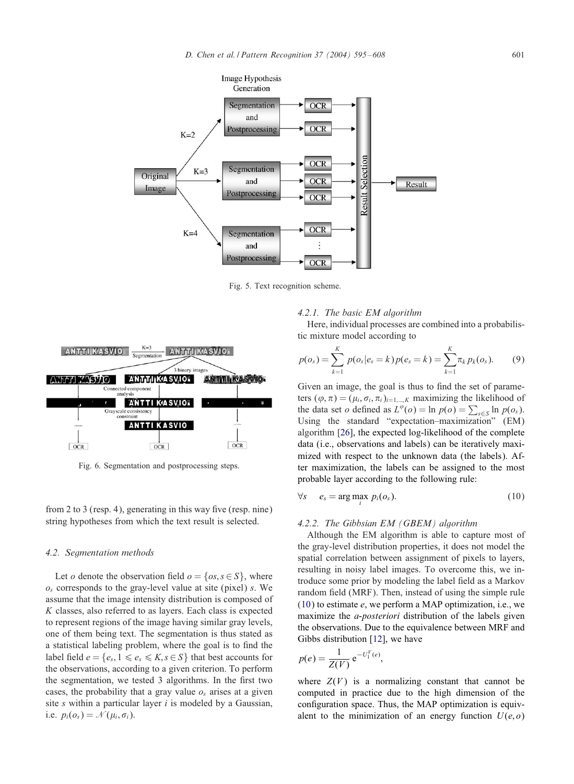<span id="page-6-0"></span>

Fig. 5. Text recognition scheme.

#### $K=3$  ANITI KASVIOT **ANTTI KASVIO** 3 binary image **ANITHIKASVIOL ANHETI YASVIG ANTITI KASVIO** Connected component analysis ANTTI KASVIOI Grayscale consistency<br>constraint **ANTTI KASVIO**  $\overline{OCR}$  $OCR$  $OCR$

Fig. 6. Segmentation and postprocessing steps.

from 2 to 3 (resp. 4), generating in this way five (resp. nine) string hypotheses from which the text result is selected.

#### *4.2. Segmentation methods*

Let o denote the observation field  $o = \{os, s \in S\}$ , where  $o<sub>s</sub>$  corresponds to the gray-level value at site (pixel) s. We assume that the image intensity distribution is composed of  $K$  classes, also referred to as layers. Each class is expected to represent regions of the image having similar gray levels, one of them being text. The segmentation is thus stated as a statistical labeling problem, where the goal is to find the label field  $e = \{e_s, 1 \leq e_s \leq K, s \in S\}$  that best accounts for the observations, according to a given criterion. To perform the segmentation, we tested 3 algorithms. In the first two cases, the probability that a gray value  $o_s$  arises at a given site  $s$  within a particular layer  $i$  is modeled by a Gaussian, i.e.  $p_i(o_s) = \mathcal{N}(\mu_i, \sigma_i)$ .

# *4.2.1. The basic EM algorithm*

Here, individual processes are combined into a probabilistic mixture model according to

$$
p(o_s) = \sum_{k=1}^{K} p(o_s|e_s = k) p(e_s = k) = \sum_{k=1}^{K} \pi_k p_k(o_s).
$$
 (9)

Given an image, the goal is thus to find the set of parameters  $(\varphi, \pi) = (\mu_i, \sigma_i, \pi_i)_{i=1,\dots,K}$  maximizing the likelihood of the data set *o* defined as  $L^{\varphi}(o) = \ln p(o) = \sum_{s \in S} \ln p(o_s)$ . Using the standard "expectation–maximization" (EM) algorithm [\[26\]](#page-13-0), the expected log-likelihood of the complete data (i.e., observations and labels) can be iteratively maximized with respect to the unknown data (the labels). After maximization, the labels can be assigned to the most probable layer according to the following rule:

$$
\forall s \qquad e_s = \arg \max_i p_i(o_s). \tag{10}
$$

# *4.2.2. The Gibbsian EM (GBEM) algorithm*

;

Although the EM algorithm is able to capture most of the gray-level distribution properties, it does not model the spatial correlation between assignment of pixels to layers, resulting in noisy label images. To overcome this, we introduce some prior by modeling the label field as a Markov random field (MRF). Then, instead of using the simple rule  $(10)$  to estimate e, we perform a MAP optimization, i.e., we maximize the *a-posteriori* distribution of the labels given the observations. Due to the equivalence between MRF and Gibbs distribution [\[12\]](#page-12-0), we have

$$
p(e) = \frac{1}{Z(V)} e^{-U_1^V(e)}
$$

where  $Z(V)$  is a normalizing constant that cannot be computed in practice due to the high dimension of the configuration space. Thus, the MAP optimization is equivalent to the minimization of an energy function  $U(e, o)$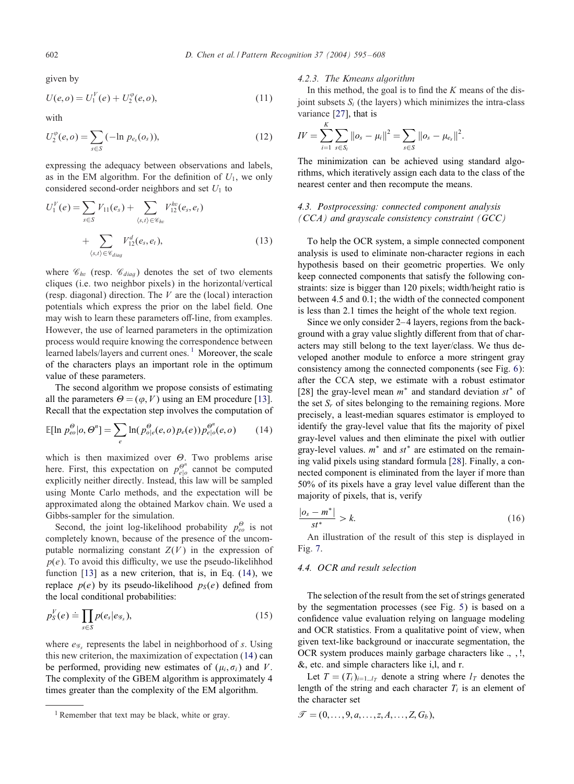given by

$$
U(e, o) = U_1^V(e) + U_2^{\varphi}(e, o),
$$
\n(11)

with

$$
U_2^{\varphi}(e, o) = \sum_{s \in S} (-\ln p_{e_s}(o_s)), \qquad (12)
$$

expressing the adequacy between observations and labels, as in the EM algorithm. For the definition of  $U_1$ , we only considered second-order neighbors and set  $U_1$  to

$$
U_1^V(e) = \sum_{s \in S} V_{11}(e_s) + \sum_{\langle s,t \rangle \in \mathscr{C}_{hv}} V_{12}^{hv}(e_s, e_t) + \sum_{\langle s,t \rangle \in \mathscr{C}_{diag}} V_{12}^{d}(e_s, e_t),
$$
\n(13)

where  $\mathscr{C}_{hv}$  (resp.  $\mathscr{C}_{diag}$ ) denotes the set of two elements cliques (i.e. two neighbor pixels) in the horizontal/vertical (resp. diagonal) direction. The  $V$  are the (local) interaction potentials which express the prior on the label field. One may wish to learn these parameters off-line, from examples. However, the use of learned parameters in the optimization process would require knowing the correspondence between learned labels/layers and current ones.<sup>1</sup> Moreover, the scale of the characters plays an important role in the optimum value of these parameters.

The second algorithm we propose consists of estimating all the parameters  $\Theta = (\varphi, V)$  using an EM procedure [\[13\]](#page-12-0). Recall that the expectation step involves the computation of

$$
\mathbb{E}[\ln p_{eo}^{\Theta}|o,\Theta^n] = \sum_{e} \ln(p_{o|e}^{\Theta}(e,o)p_e(e))p_{e|o}^{\Theta^n}(e,o) \qquad (14)
$$

which is then maximized over  $\Theta$ . Two problems arise here. First, this expectation on  $p_{e|o}^{\Theta^n}$  cannot be computed explicitly neither directly. Instead, this law will be sampled using Monte Carlo methods, and the expectation will be approximated along the obtained Markov chain. We used a Gibbs-sampler for the simulation.

Second, the joint log-likelihood probability  $p_{eo}^{\Theta}$  is not completely known, because of the presence of the uncomputable normalizing constant  $Z(V)$  in the expression of  $p(e)$ . To avoid this difficulty, we use the pseudo-likelihhod function [\[13\]](#page-12-0) as a new criterion, that is, in Eq. (14), we replace  $p(e)$  by its pseudo-likelihood  $p<sub>S</sub>(e)$  defined from the local conditional probabilities:

$$
p_S^V(e) \doteq \prod_{s \in S} p(e_s|e_{\mathcal{G}_s}), \tag{15}
$$

where  $e_{\mathscr{G}_s}$  represents the label in neighborhood of s. Using this new criterion, the maximization of expectation (14) can be performed, providing new estimates of  $(\mu_i, \sigma_i)$  and V. The complexity of the GBEM algorithm is approximately 4 times greater than the complexity of the EM algorithm.

#### *4.2.3. The Kmeans algorithm*

In this method, the goal is to find the  $K$  means of the disjoint subsets  $S_i$  (the layers) which minimizes the intra-class variance [\[27\]](#page-13-0), that is

$$
IV = \sum_{i=1}^{K} \sum_{s \in S_i} ||o_s - \mu_i||^2 = \sum_{s \in S} ||o_s - \mu_{e_s}||^2.
$$

The minimization can be achieved using standard algorithms, which iteratively assign each data to the class of the nearest center and then recompute the means.

# *4.3. Postprocessing: connected component analysis (CCA) and grayscale consistency constraint (GCC)*

To help the OCR system, a simple connected component analysis is used to eliminate non-character regions in each hypothesis based on their geometric properties. We only keep connected components that satisfy the following constraints: size is bigger than 120 pixels; width/height ratio is between 4.5 and 0.1; the width of the connected component is less than 2.1 times the height of the whole text region.

Since we only consider 2– 4 layers, regions from the background with a gray value slightly different from that of characters may still belong to the text layer/class. We thus developed another module to enforce a more stringent gray consistency among the connected components (see Fig. [6\)](#page-6-0): after the CCA step, we estimate with a robust estimator [28] the gray-level mean  $m^*$  and standard deviation  $st^*$  of the set  $S_r$  of sites belonging to the remaining regions. More precisely, a least-median squares estimator is employed to identify the gray-level value that fits the majority of pixel gray-level values and then eliminate the pixel with outlier gray-level values.  $m^*$  and  $st^*$  are estimated on the remaining valid pixels using standard formula [\[28\]](#page-13-0). Finally, a connected component is eliminated from the layer if more than 50% of its pixels have a gray level value diHerent than the majority of pixels, that is, verify

$$
\frac{|o_s - m^*|}{st^*} > k. \tag{16}
$$

An illustration of the result of this step is displayed in Fig. [7.](#page-8-0)

# *4.4. OCR and result selection*

The selection of the result from the set of strings generated by the segmentation processes (see Fig. [5\)](#page-6-0) is based on a confidence value evaluation relying on language modeling and OCR statistics. From a qualitative point of view, when given text-like background or inaccurate segmentation, the OCR system produces mainly garbage characters like ., .!, &, etc. and simple characters like i,l, and r.

Let  $T = (T_i)_{i=1...l_T}$  denote a string where  $l_T$  denotes the length of the string and each character  $T_i$  is an element of the character set

$$
\mathcal{T}=(0,\ldots,9,a,\ldots,z,A,\ldots,Z,G_b),
$$

<sup>1</sup> Remember that text may be black, white or gray.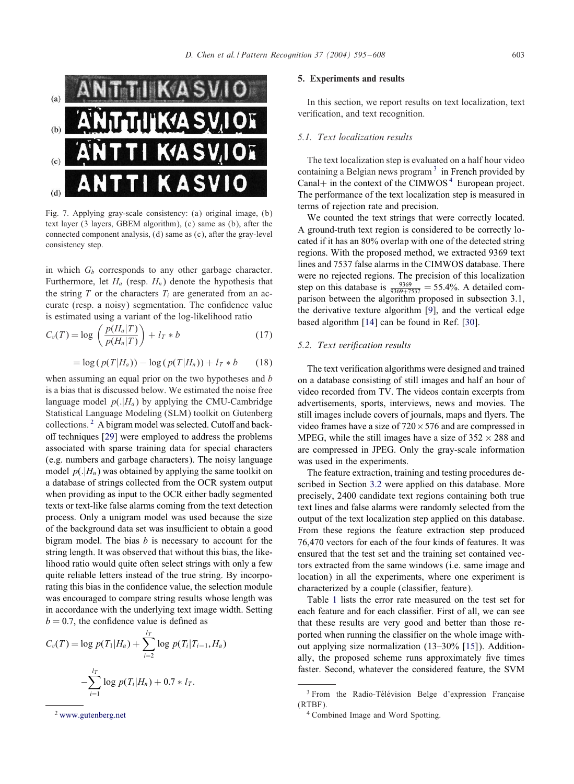<span id="page-8-0"></span>

Fig. 7. Applying gray-scale consistency: (a) original image, (b) text layer (3 layers, GBEM algorithm), (c) same as (b), after the connected component analysis, (d) same as (c), after the gray-level consistency step.

in which  $G_b$  corresponds to any other garbage character. Furthermore, let  $H_a$  (resp.  $H_n$ ) denote the hypothesis that the string  $T$  or the characters  $T_i$  are generated from an accurate (resp. a noisy) segmentation. The confidence value is estimated using a variant of the log-likelihood ratio

$$
C_v(T) = \log \left( \frac{p(H_a|T)}{p(H_n|T)} \right) + l_T * b \tag{17}
$$

$$
= \log (p(T|H_a)) - \log (p(T|H_n)) + l_T * b \qquad (18)
$$

when assuming an equal prior on the two hypotheses and b is a bias that is discussed below. We estimated the noise free language model  $p(.|H_a)$  by applying the CMU-Cambridge Statistical Language Modeling (SLM) toolkit on Gutenberg collections.<sup>2</sup> A bigram model was selected. Cutoff and back-off techniques [\[29\]](#page-13-0) were employed to address the problems associated with sparse training data for special characters (e.g. numbers and garbage characters). The noisy language model  $p(.|H_n)$  was obtained by applying the same toolkit on a database of strings collected from the OCR system output when providing as input to the OCR either badly segmented texts or text-like false alarms coming from the text detection process. Only a unigram model was used because the size of the background data set was insufficient to obtain a good bigram model. The bias  $b$  is necessary to account for the string length. It was observed that without this bias, the likelihood ratio would quite often select strings with only a few quite reliable letters instead of the true string. By incorporating this bias in the confidence value, the selection module was encouraged to compare string results whose length was in accordance with the underlying text image width. Setting  $b = 0.7$ , the confidence value is defined as

$$
C_v(T) = \log p(T_1|H_a) + \sum_{i=2}^{l_T} \log p(T_i|T_{i-1}, H_a)
$$

$$
-\sum_{i=1}^{l_T} \log p(T_i|H_n) + 0.7 * l_T.
$$

#### 5. Experiments and results

In this section, we report results on text localization, text verification, and text recognition.

# *5.1. Text localization results*

The text localization step is evaluated on a half hour video containing a Belgian news program  $3$  in French provided by Canal+ in the context of the CIMWOS $<sup>4</sup>$  European project.</sup> The performance of the text localization step is measured in terms of rejection rate and precision.

We counted the text strings that were correctly located. A ground-truth text region is considered to be correctly located if it has an 80% overlap with one of the detected string regions. With the proposed method, we extracted 9369 text lines and 7537 false alarms in the CIMWOS database. There were no rejected regions. The precision of this localization step on this database is  $\frac{9369}{9369+7537}$  = 55.4%. A detailed comparison between the algorithm proposed in subsection 3.1, the derivative texture algorithm [\[9\]](#page-12-0), and the vertical edge based algorithm [\[14\]](#page-12-0) can be found in Ref. [\[30\]](#page-13-0).

# *5.2. Text verication results*

The text verification algorithms were designed and trained on a database consisting of still images and half an hour of video recorded from TV. The videos contain excerpts from advertisements, sports, interviews, news and movies. The still images include covers of journals, maps and Nyers. The video frames have a size of  $720 \times 576$  and are compressed in MPEG, while the still images have a size of  $352 \times 288$  and are compressed in JPEG. Only the gray-scale information was used in the experiments.

The feature extraction, training and testing procedures described in Section [3.2](#page-4-0) were applied on this database. More precisely, 2400 candidate text regions containing both true text lines and false alarms were randomly selected from the output of the text localization step applied on this database. From these regions the feature extraction step produced 76,470 vectors for each of the four kinds of features. It was ensured that the test set and the training set contained vectors extracted from the same windows (i.e. same image and location) in all the experiments, where one experiment is characterized by a couple (classifier, feature).

Table [1](#page-9-0) lists the error rate measured on the test set for each feature and for each classifier. First of all, we can see that these results are very good and better than those reported when running the classifier on the whole image without applying size normalization (13–30% [\[15\]](#page-12-0)). Additionally, the proposed scheme runs approximately five times faster. Second, whatever the considered feature, the SVM

<sup>2</sup> [www.gutenberg.net](http://www.gutenberg.net)

<sup>&</sup>lt;sup>3</sup> From the Radio-Télévision Belge d'expression Française (RTBF).

<sup>4</sup> Combined Image and Word Spotting.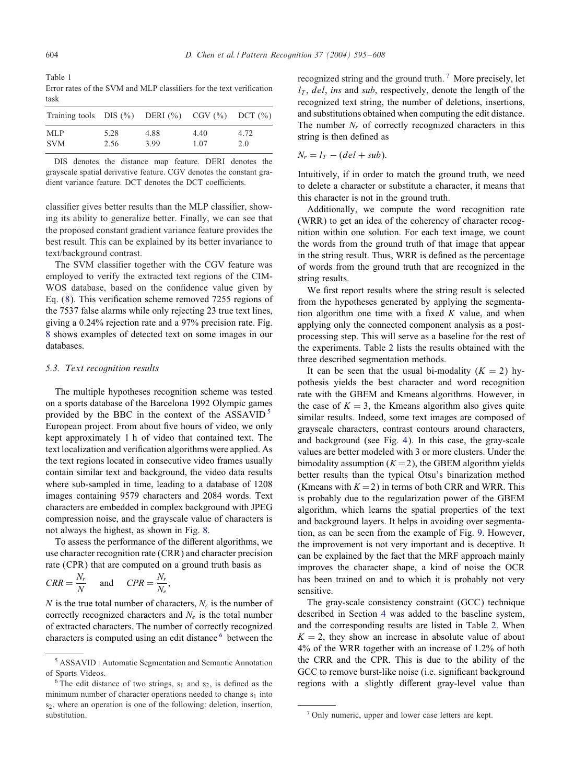<span id="page-9-0"></span>Table 1 Error rates of the SVM and MLP classifiers for the text verification task

| Training tools DIS $(\%)$ DERI $(\%)$ CGV $(\%)$ DCT $(\%)$ |      |      |      |      |
|-------------------------------------------------------------|------|------|------|------|
| MLP                                                         | 5.28 | 4.88 | 4.40 | 4.72 |
| <b>SVM</b>                                                  | 2.56 | 3.99 | 1.07 | 2.0  |

DIS denotes the distance map feature. DERI denotes the grayscale spatial derivative feature. CGV denotes the constant gradient variance feature. DCT denotes the DCT coefficients.

classifier gives better results than the MLP classifier, showing its ability to generalize better. Finally, we can see that the proposed constant gradient variance feature provides the best result. This can be explained by its better invariance to text/background contrast.

The SVM classifier together with the CGV feature was employed to verify the extracted text regions of the CIM-WOS database, based on the confidence value given by Eq.  $(8)$ . This verification scheme removed 7255 regions of the 7537 false alarms while only rejecting 23 true text lines, giving a 0.24% rejection rate and a 97% precision rate. Fig. [8](#page-10-0) shows examples of detected text on some images in our databases.

### *5.3. Text recognition results*

The multiple hypotheses recognition scheme was tested on a sports database of the Barcelona 1992 Olympic games provided by the BBC in the context of the ASSAVID<sup>5</sup> European project. From about five hours of video, we only kept approximately 1 h of video that contained text. The text localization and verification algorithms were applied. As the text regions located in consecutive video frames usually contain similar text and background, the video data results where sub-sampled in time, leading to a database of 1208 images containing 9579 characters and 2084 words. Text characters are embedded in complex background with JPEG compression noise, and the grayscale value of characters is not always the highest, as shown in Fig. [8.](#page-10-0)

To assess the performance of the different algorithms, we use character recognition rate (CRR) and character precision rate (CPR) that are computed on a ground truth basis as

$$
CRR = \frac{N_r}{N} \quad \text{and} \quad CPR = \frac{N_r}{N_e},
$$

N is the true total number of characters,  $N_r$  is the number of correctly recognized characters and  $N_e$  is the total number of extracted characters. The number of correctly recognized characters is computed using an edit distance  $6\,$  between the

recognized string and the ground truth.<sup>7</sup> More precisely, let  $l<sub>T</sub>$ , del, ins and sub, respectively, denote the length of the recognized text string, the number of deletions, insertions, and substitutions obtained when computing the edit distance. The number  $N_r$  of correctly recognized characters in this string is then defined as

$$
N_r = l_T - (del + sub).
$$

Intuitively, if in order to match the ground truth, we need to delete a character or substitute a character, it means that this character is not in the ground truth.

Additionally, we compute the word recognition rate (WRR) to get an idea of the coherency of character recognition within one solution. For each text image, we count the words from the ground truth of that image that appear in the string result. Thus, WRR is defined as the percentage of words from the ground truth that are recognized in the string results.

We first report results where the string result is selected from the hypotheses generated by applying the segmentation algorithm one time with a fixed  $K$  value, and when applying only the connected component analysis as a postprocessing step. This will serve as a baseline for the rest of the experiments. Table [2](#page-10-0) lists the results obtained with the three described segmentation methods.

It can be seen that the usual bi-modality  $(K = 2)$  hypothesis yields the best character and word recognition rate with the GBEM and Kmeans algorithms. However, in the case of  $K = 3$ , the Kmeans algorithm also gives quite similar results. Indeed, some text images are composed of grayscale characters, contrast contours around characters, and background (see Fig. [4\)](#page-5-0). In this case, the gray-scale values are better modeled with 3 or more clusters. Under the bimodality assumption  $(K = 2)$ , the GBEM algorithm yields better results than the typical Otsu's binarization method (Kmeans with  $K = 2$ ) in terms of both CRR and WRR. This is probably due to the regularization power of the GBEM algorithm, which learns the spatial properties of the text and background layers. It helps in avoiding over segmentation, as can be seen from the example of Fig. [9.](#page-11-0) However, the improvement is not very important and is deceptive. It can be explained by the fact that the MRF approach mainly improves the character shape, a kind of noise the OCR has been trained on and to which it is probably not very sensitive.

The gray-scale consistency constraint (GCC) technique described in Section [4](#page-5-0) was added to the baseline system, and the corresponding results are listed in Table [2.](#page-10-0) When  $K = 2$ , they show an increase in absolute value of about 4% of the WRR together with an increase of 1.2% of both the CRR and the CPR. This is due to the ability of the GCC to remove burst-like noise (i.e. significant background regions with a slightly different gray-level value than

<sup>5</sup> ASSAVID : Automatic Segmentation and Semantic Annotation of Sports Videos.

 $6$  The edit distance of two strings,  $s_1$  and  $s_2$ , is defined as the minimum number of character operations needed to change  $s_1$  into s2, where an operation is one of the following: deletion, insertion, substitution.

<sup>&</sup>lt;sup>7</sup> Only numeric, upper and lower case letters are kept.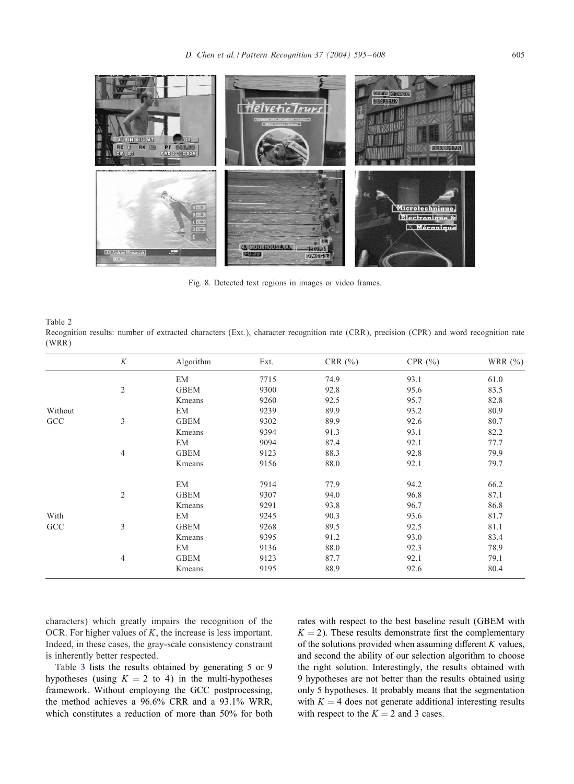<span id="page-10-0"></span>

Fig. 8. Detected text regions in images or video frames.

Table 2 Recognition results: number of extracted characters (Ext.), character recognition rate (CRR), precision (CPR) and word recognition rate (WRR)

|         | K              | Algorithm   | Ext. | CRR $(\% )$ | CPR $(\% )$ | WRR $(\%)$ |
|---------|----------------|-------------|------|-------------|-------------|------------|
|         |                | EM          | 7715 | 74.9        | 93.1        | 61.0       |
|         | 2              | <b>GBEM</b> | 9300 | 92.8        | 95.6        | 83.5       |
|         |                | Kmeans      | 9260 | 92.5        | 95.7        | 82.8       |
| Without |                | EM          | 9239 | 89.9        | 93.2        | 80.9       |
| GCC     | 3              | <b>GBEM</b> | 9302 | 89.9        | 92.6        | 80.7       |
|         |                | Kmeans      | 9394 | 91.3        | 93.1        | 82.2       |
|         |                | EM          | 9094 | 87.4        | 92.1        | 77.7       |
|         | $\overline{4}$ | <b>GBEM</b> | 9123 | 88.3        | 92.8        | 79.9       |
|         |                | Kmeans      | 9156 | 88.0        | 92.1        | 79.7       |
|         |                | EM          | 7914 | 77.9        | 94.2        | 66.2       |
|         | $\overline{c}$ | <b>GBEM</b> | 9307 | 94.0        | 96.8        | 87.1       |
|         |                | Kmeans      | 9291 | 93.8        | 96.7        | 86.8       |
| With    |                | EM          | 9245 | 90.3        | 93.6        | 81.7       |
| GCC     | 3              | <b>GBEM</b> | 9268 | 89.5        | 92.5        | 81.1       |
|         |                | Kmeans      | 9395 | 91.2        | 93.0        | 83.4       |
|         |                | EM          | 9136 | 88.0        | 92.3        | 78.9       |
|         | 4              | <b>GBEM</b> | 9123 | 87.7        | 92.1        | 79.1       |
|         |                | Kmeans      | 9195 | 88.9        | 92.6        | 80.4       |

characters) which greatly impairs the recognition of the OCR. For higher values of  $K$ , the increase is less important. Indeed, in these cases, the gray-scale consistency constraint is inherently better respected.

Table [3](#page-11-0) lists the results obtained by generating 5 or 9 hypotheses (using  $K = 2$  to 4) in the multi-hypotheses framework. Without employing the GCC postprocessing, the method achieves a 96.6% CRR and a 93.1% WRR, which constitutes a reduction of more than 50% for both rates with respect to the best baseline result (GBEM with  $K = 2$ ). These results demonstrate first the complementary of the solutions provided when assuming different  $K$  values, and second the ability of our selection algorithm to choose the right solution. Interestingly, the results obtained with 9 hypotheses are not better than the results obtained using only 5 hypotheses. It probably means that the segmentation with  $K = 4$  does not generate additional interesting results with respect to the  $K = 2$  and 3 cases.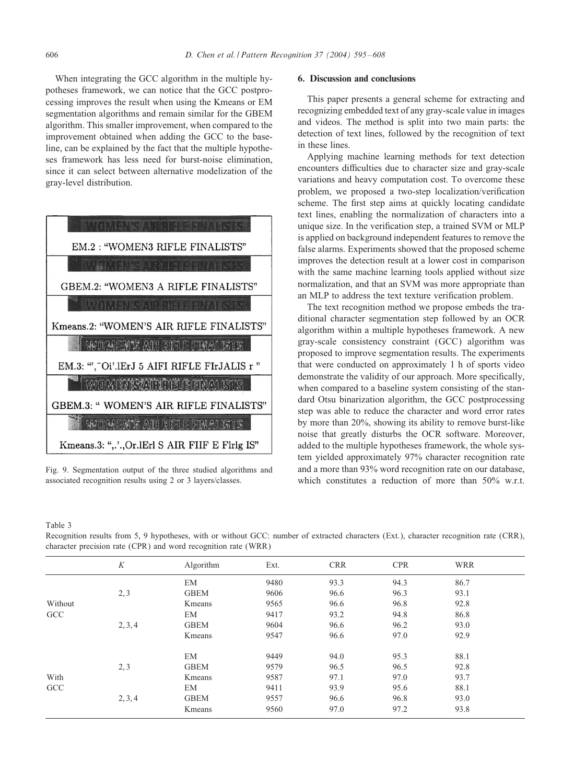<span id="page-11-0"></span>When integrating the GCC algorithm in the multiple hypotheses framework, we can notice that the GCC postprocessing improves the result when using the Kmeans or EM segmentation algorithms and remain similar for the GBEM algorithm. This smaller improvement, when compared to the improvement obtained when adding the GCC to the baseline, can be explained by the fact that the multiple hypotheses framework has less need for burst-noise elimination, since it can select between alternative modelization of the gray-level distribution.



Fig. 9. Segmentation output of the three studied algorithms and associated recognition results using 2 or 3 layers/classes.

#### 6. Discussion and conclusions

This paper presents a general scheme for extracting and recognizing embedded text of any gray-scale value in images and videos. The method is split into two main parts: the detection of text lines, followed by the recognition of text in these lines.

Applying machine learning methods for text detection encounters difficulties due to character size and gray-scale variations and heavy computation cost. To overcome these problem, we proposed a two-step localization/verification scheme. The first step aims at quickly locating candidate text lines, enabling the normalization of characters into a unique size. In the verification step, a trained SVM or MLP is applied on background independent features to remove the false alarms. Experiments showed that the proposed scheme improves the detection result at a lower cost in comparison with the same machine learning tools applied without size normalization, and that an SVM was more appropriate than an MLP to address the text texture verification problem.

The text recognition method we propose embeds the traditional character segmentation step followed by an OCR algorithm within a multiple hypotheses framework. A new gray-scale consistency constraint (GCC) algorithm was proposed to improve segmentation results. The experiments that were conducted on approximately 1 h of sports video demonstrate the validity of our approach. More specifically, when compared to a baseline system consisting of the standard Otsu binarization algorithm, the GCC postprocessing step was able to reduce the character and word error rates by more than 20%, showing its ability to remove burst-like noise that greatly disturbs the OCR software. Moreover, added to the multiple hypotheses framework, the whole system yielded approximately 97% character recognition rate and a more than 93% word recognition rate on our database, which constitutes a reduction of more than 50% w.r.t.

Table 3

Recognition results from 5, 9 hypotheses, with or without GCC: number of extracted characters (Ext.), character recognition rate (CRR), character precision rate (CPR) and word recognition rate (WRR)

|            | K       | Algorithm   | Ext. | <b>CRR</b> | <b>CPR</b> | <b>WRR</b> |  |
|------------|---------|-------------|------|------------|------------|------------|--|
|            |         | EM          | 9480 | 93.3       | 94.3       | 86.7       |  |
|            | 2, 3    | <b>GBEM</b> | 9606 | 96.6       | 96.3       | 93.1       |  |
| Without    |         | Kmeans      | 9565 | 96.6       | 96.8       | 92.8       |  |
| <b>GCC</b> |         | EM          | 9417 | 93.2       | 94.8       | 86.8       |  |
|            | 2, 3, 4 | <b>GBEM</b> | 9604 | 96.6       | 96.2       | 93.0       |  |
|            |         | Kmeans      | 9547 | 96.6       | 97.0       | 92.9       |  |
|            |         | EM          | 9449 | 94.0       | 95.3       | 88.1       |  |
|            | 2, 3    | <b>GBEM</b> | 9579 | 96.5       | 96.5       | 92.8       |  |
| With       |         | Kmeans      | 9587 | 97.1       | 97.0       | 93.7       |  |
| GCC        |         | EM          | 9411 | 93.9       | 95.6       | 88.1       |  |
|            | 2, 3, 4 | <b>GBEM</b> | 9557 | 96.6       | 96.8       | 93.0       |  |
|            |         | Kmeans      | 9560 | 97.0       | 97.2       | 93.8       |  |
|            |         |             |      |            |            |            |  |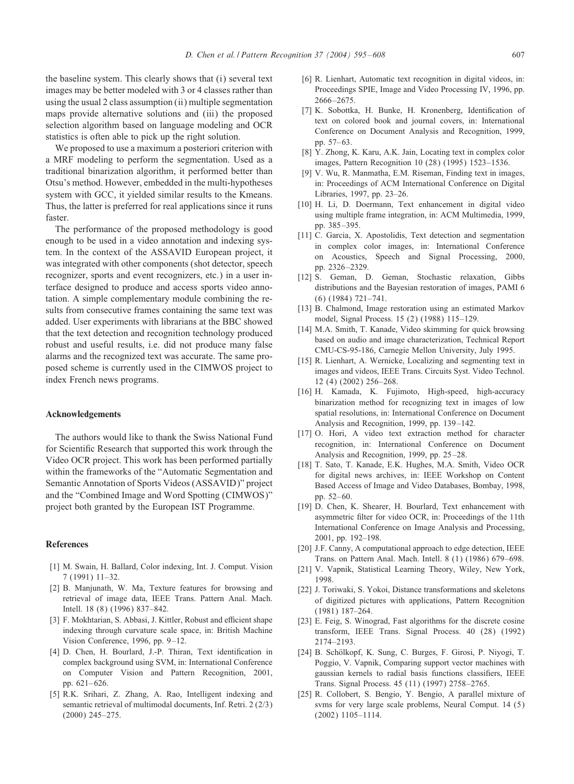<span id="page-12-0"></span>the baseline system. This clearly shows that (i) several text images may be better modeled with 3 or 4 classes rather than using the usual 2 class assumption (ii) multiple segmentation maps provide alternative solutions and (iii) the proposed selection algorithm based on language modeling and OCR statistics is often able to pick up the right solution.

We proposed to use a maximum a posteriori criterion with a MRF modeling to perform the segmentation. Used as a traditional binarization algorithm, it performed better than Otsu's method. However, embedded in the multi-hypotheses system with GCC, it yielded similar results to the Kmeans. Thus, the latter is preferred for real applications since it runs faster.

The performance of the proposed methodology is good enough to be used in a video annotation and indexing system. In the context of the ASSAVID European project, it was integrated with other components (shot detector, speech recognizer, sports and event recognizers, etc.) in a user interface designed to produce and access sports video annotation. A simple complementary module combining the results from consecutive frames containing the same text was added. User experiments with librarians at the BBC showed that the text detection and recognition technology produced robust and useful results, i.e. did not produce many false alarms and the recognized text was accurate. The same proposed scheme is currently used in the CIMWOS project to index French news programs.

#### Acknowledgements

The authors would like to thank the Swiss National Fund for Scientific Research that supported this work through the Video OCR project. This work has been performed partially within the frameworks of the "Automatic Segmentation and Semantic Annotation of Sports Videos (ASSAVID)" project and the "Combined Image and Word Spotting (CIMWOS)" project both granted by the European IST Programme.

### References

- [1] M. Swain, H. Ballard, Color indexing, Int. J. Comput. Vision 7 (1991) 11–32.
- [2] B. Manjunath, W. Ma, Texture features for browsing and retrieval of image data, IEEE Trans. Pattern Anal. Mach. Intell. 18 (8) (1996) 837–842.
- [3] F. Mokhtarian, S. Abbasi, J. Kittler, Robust and efficient shape indexing through curvature scale space, in: British Machine Vision Conference, 1996, pp. 9-12.
- [4] D. Chen, H. Bourlard, J.-P. Thiran, Text identification in complex background using SVM, in: International Conference on Computer Vision and Pattern Recognition, 2001, pp.  $621 - 626$ .
- [5] R.K. Srihari, Z. Zhang, A. Rao, Intelligent indexing and semantic retrieval of multimodal documents, Inf. Retri. 2 (2/3) (2000) 245–275.
- [6] R. Lienhart, Automatic text recognition in digital videos, in: Proceedings SPIE, Image and Video Processing IV, 1996, pp. 2666 –2675.
- [7] K. Sobottka, H. Bunke, H. Kronenberg, Identification of text on colored book and journal covers, in: International Conference on Document Analysis and Recognition, 1999, pp. 57–63.
- [8] Y. Zhong, K. Karu, A.K. Jain, Locating text in complex color images, Pattern Recognition 10 (28) (1995) 1523–1536.
- [9] V. Wu, R. Manmatha, E.M. Riseman, Finding text in images, in: Proceedings of ACM International Conference on Digital Libraries, 1997, pp. 23–26.
- [10] H. Li, D. Doermann, Text enhancement in digital video using multiple frame integration, in: ACM Multimedia, 1999, pp. 385 –395.
- [11] C. Garcia, X. Apostolidis, Text detection and segmentation in complex color images, in: International Conference on Acoustics, Speech and Signal Processing, 2000, pp. 2326 –2329.
- [12] S. Geman, D. Geman, Stochastic relaxation, Gibbs distributions and the Bayesian restoration of images, PAMI 6 (6) (1984) 721–741.
- [13] B. Chalmond, Image restoration using an estimated Markov model, Signal Process. 15 (2) (1988) 115–129.
- [14] M.A. Smith, T. Kanade, Video skimming for quick browsing based on audio and image characterization, Technical Report CMU-CS-95-186, Carnegie Mellon University, July 1995.
- [15] R. Lienhart, A. Wernicke, Localizing and segmenting text in images and videos, IEEE Trans. Circuits Syst. Video Technol. 12 (4) (2002) 256–268.
- [16] H. Kamada, K. Fujimoto, High-speed, high-accuracy binarization method for recognizing text in images of low spatial resolutions, in: International Conference on Document Analysis and Recognition, 1999, pp. 139-142.
- [17] O. Hori, A video text extraction method for character recognition, in: International Conference on Document Analysis and Recognition, 1999, pp. 25-28.
- [18] T. Sato, T. Kanade, E.K. Hughes, M.A. Smith, Video OCR for digital news archives, in: IEEE Workshop on Content Based Access of Image and Video Databases, Bombay, 1998, pp. 52– 60.
- [19] D. Chen, K. Shearer, H. Bourlard, Text enhancement with asymmetric filter for video OCR, in: Proceedings of the 11th International Conference on Image Analysis and Processing, 2001, pp. 192–198.
- [20] J.F. Canny, A computational approach to edge detection, IEEE Trans. on Pattern Anal. Mach. Intell. 8 (1) (1986) 679–698.
- [21] V. Vapnik, Statistical Learning Theory, Wiley, New York, 1998.
- [22] J. Toriwaki, S. Yokoi, Distance transformations and skeletons of digitized pictures with applications, Pattern Recognition (1981) 187–264.
- [23] E. Feig, S. Winograd, Fast algorithms for the discrete cosine transform, IEEE Trans. Signal Process. 40 (28) (1992) 2174–2193.
- [24] B. Schölkopf, K. Sung, C. Burges, F. Girosi, P. Niyogi, T. Poggio, V. Vapnik, Comparing support vector machines with gaussian kernels to radial basis functions classifiers, IEEE Trans. Signal Process. 45 (11) (1997) 2758–2765.
- [25] R. Collobert, S. Bengio, Y. Bengio, A parallel mixture of svms for very large scale problems, Neural Comput. 14 (5) (2002) 1105–1114.